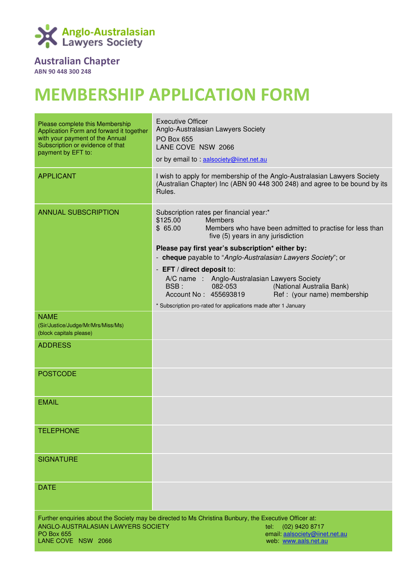

## Australian Chapter

ABN 90 448 300 248

# MEMBERSHIP APPLICATION FORM

| Please complete this Membership<br>Application Form and forward it together<br>with your payment of the Annual | <b>Executive Officer</b><br>Anglo-Australasian Lawyers Society<br><b>PO Box 655</b>                                                                                                |
|----------------------------------------------------------------------------------------------------------------|------------------------------------------------------------------------------------------------------------------------------------------------------------------------------------|
| Subscription or evidence of that<br>payment by EFT to:                                                         | LANE COVE NSW 2066                                                                                                                                                                 |
|                                                                                                                | or by email to : aalsociety@iinet.net.au                                                                                                                                           |
| <b>APPLICANT</b>                                                                                               | I wish to apply for membership of the Anglo-Australasian Lawyers Society<br>(Australian Chapter) Inc (ABN 90 448 300 248) and agree to be bound by its<br>Rules.                   |
| <b>ANNUAL SUBSCRIPTION</b>                                                                                     | Subscription rates per financial year:*<br>\$125.00<br><b>Members</b><br>\$65.00<br>Members who have been admitted to practise for less than<br>five (5) years in any jurisdiction |
|                                                                                                                | Please pay first year's subscription* either by:<br>- cheque payable to "Anglo-Australasian Lawyers Society"; or                                                                   |
|                                                                                                                | - EFT / direct deposit to:                                                                                                                                                         |
|                                                                                                                | A/C name : Anglo-Australasian Lawyers Society<br>BSB:<br>082-053<br>(National Australia Bank)<br>Account No: 455693819<br>Ref: (your name) membership                              |
|                                                                                                                | * Subscription pro-rated for applications made after 1 January                                                                                                                     |
| <b>NAME</b><br>(Sir/Justice/Judge/Mr/Mrs/Miss/Ms)<br>(block capitals please)                                   |                                                                                                                                                                                    |
| <b>ADDRESS</b>                                                                                                 |                                                                                                                                                                                    |
| <b>POSTCODE</b>                                                                                                |                                                                                                                                                                                    |
| <b>EMAIL</b>                                                                                                   |                                                                                                                                                                                    |
| <b>TELEPHONE</b>                                                                                               |                                                                                                                                                                                    |
| <b>SIGNATURE</b>                                                                                               |                                                                                                                                                                                    |
| <b>DATE</b>                                                                                                    |                                                                                                                                                                                    |
| Further enquiries about the Society may be directed to Ms Christina Bunbury, the Executive Officer at:         |                                                                                                                                                                                    |
| ANGLO-AUSTRALASIAN LAWYERS SOCIETY<br><b>PO Box 655</b>                                                        | (02) 9420 8717<br>tel:<br>email aalsociety@iinet.net.au                                                                                                                            |
| LANE COVE NSW 2066                                                                                             | web: www.aals.net.au                                                                                                                                                               |